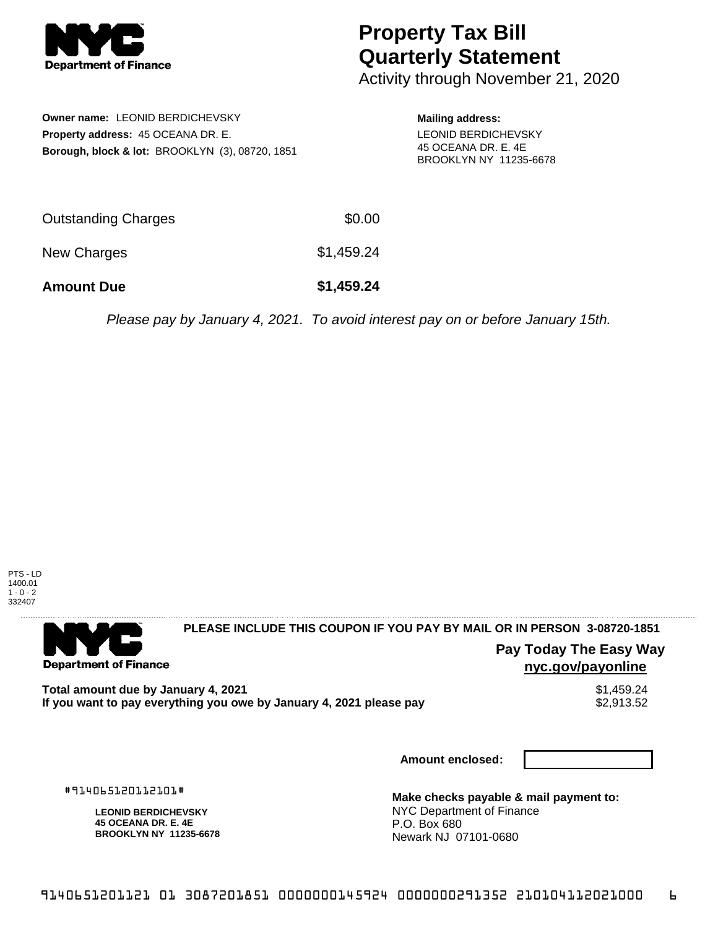

## **Property Tax Bill Quarterly Statement**

Activity through November 21, 2020

**Owner name:** LEONID BERDICHEVSKY **Property address:** 45 OCEANA DR. E. **Borough, block & lot:** BROOKLYN (3), 08720, 1851 **Mailing address:** LEONID BERDICHEVSKY 45 OCEANA DR. E. 4E BROOKLYN NY 11235-6678

| <b>Amount Due</b>   | \$1,459.24 |
|---------------------|------------|
| New Charges         | \$1,459.24 |
| Outstanding Charges | \$0.00     |

Please pay by January 4, 2021. To avoid interest pay on or before January 15th.



. . . . . . . . . . . . . . . .

## 

**Department of Finance** 

**PLEASE INCLUDE THIS COUPON IF YOU PAY BY MAIL OR IN PERSON 3-08720-1851** 

**Pay Today The Easy Way nyc.gov/payonline**

**Total amount due by January 4, 2021**<br>If you want to pay everything you owe by January 4, 2021 please pay **show that the set of the set of the set of** If you want to pay everything you owe by January 4, 2021 please pay

**Amount enclosed:**

#914065120112101#

**LEONID BERDICHEVSKY 45 OCEANA DR. E. 4E BROOKLYN NY 11235-6678**

**Make checks payable & mail payment to:** NYC Department of Finance P.O. Box 680 Newark NJ 07101-0680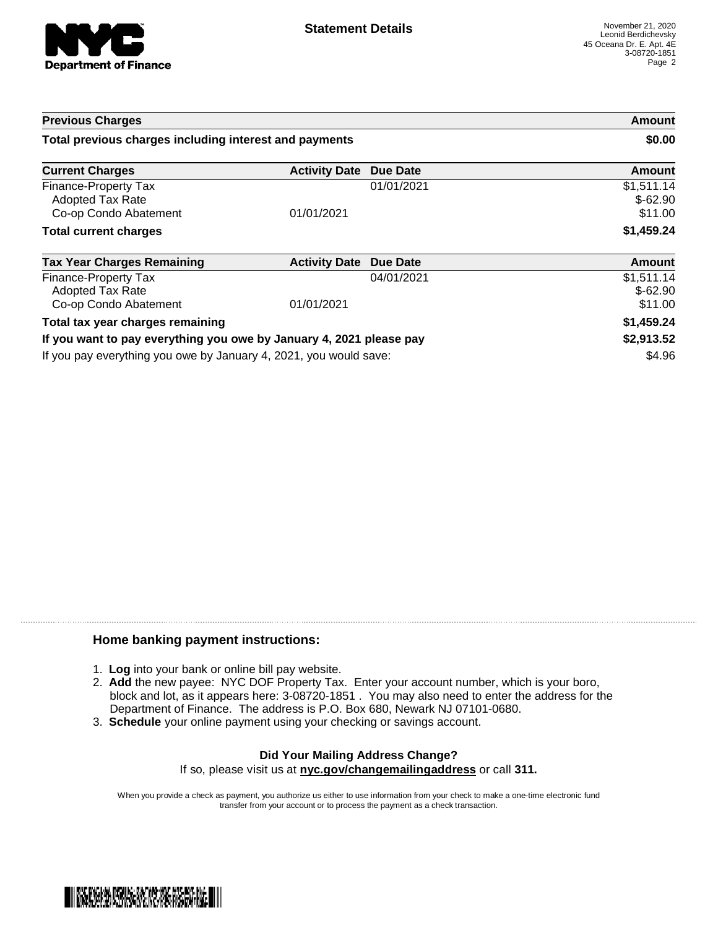

| <b>Previous Charges</b>                                             |                               |            | Amount                             |
|---------------------------------------------------------------------|-------------------------------|------------|------------------------------------|
| Total previous charges including interest and payments              |                               |            | \$0.00                             |
| <b>Current Charges</b>                                              | <b>Activity Date Due Date</b> |            | Amount                             |
| Finance-Property Tax<br>Adopted Tax Rate<br>Co-op Condo Abatement   | 01/01/2021                    | 01/01/2021 | \$1,511.14<br>$$-62.90$<br>\$11.00 |
| <b>Total current charges</b>                                        |                               |            | \$1,459.24                         |
| <b>Tax Year Charges Remaining</b>                                   | <b>Activity Date</b>          | Due Date   | Amount                             |
| Finance-Property Tax<br>Adopted Tax Rate<br>Co-op Condo Abatement   | 01/01/2021                    | 04/01/2021 | \$1,511.14<br>$$-62.90$<br>\$11.00 |
| Total tax year charges remaining                                    |                               |            | \$1,459.24                         |
| If you want to pay everything you owe by January 4, 2021 please pay |                               |            | \$2,913.52                         |
| If you pay everything you owe by January 4, 2021, you would save:   |                               |            | \$4.96                             |

## **Home banking payment instructions:**

- 1. **Log** into your bank or online bill pay website.
- 2. **Add** the new payee: NYC DOF Property Tax. Enter your account number, which is your boro, block and lot, as it appears here: 3-08720-1851 . You may also need to enter the address for the Department of Finance. The address is P.O. Box 680, Newark NJ 07101-0680.
- 3. **Schedule** your online payment using your checking or savings account.

## **Did Your Mailing Address Change?** If so, please visit us at **nyc.gov/changemailingaddress** or call **311.**

When you provide a check as payment, you authorize us either to use information from your check to make a one-time electronic fund transfer from your account or to process the payment as a check transaction.